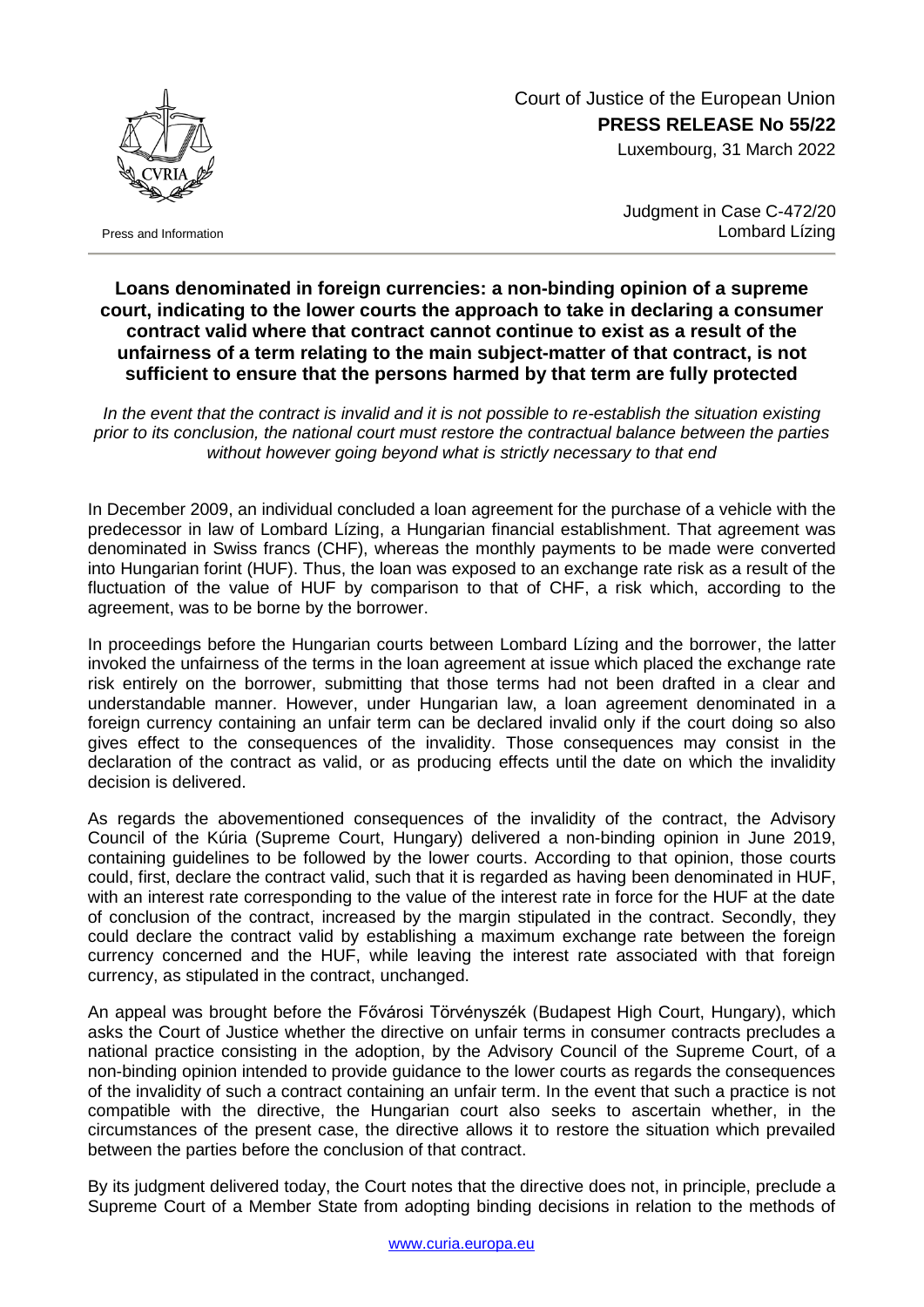Court of Justice of the European Union **PRESS RELEASE No 55/22**

Luxembourg, 31 March 2022



Press and Information

Judgment in Case C-472/20 Lombard Lízing

## **Loans denominated in foreign currencies: a non-binding opinion of a supreme court, indicating to the lower courts the approach to take in declaring a consumer contract valid where that contract cannot continue to exist as a result of the unfairness of a term relating to the main subject-matter of that contract, is not sufficient to ensure that the persons harmed by that term are fully protected**

*In the event that the contract is invalid and it is not possible to re-establish the situation existing prior to its conclusion, the national court must restore the contractual balance between the parties without however going beyond what is strictly necessary to that end*

In December 2009, an individual concluded a loan agreement for the purchase of a vehicle with the predecessor in law of Lombard Lízing, a Hungarian financial establishment. That agreement was denominated in Swiss francs (CHF), whereas the monthly payments to be made were converted into Hungarian forint (HUF). Thus, the loan was exposed to an exchange rate risk as a result of the fluctuation of the value of HUF by comparison to that of CHF, a risk which, according to the agreement, was to be borne by the borrower.

In proceedings before the Hungarian courts between Lombard Lízing and the borrower, the latter invoked the unfairness of the terms in the loan agreement at issue which placed the exchange rate risk entirely on the borrower, submitting that those terms had not been drafted in a clear and understandable manner. However, under Hungarian law, a loan agreement denominated in a foreign currency containing an unfair term can be declared invalid only if the court doing so also gives effect to the consequences of the invalidity. Those consequences may consist in the declaration of the contract as valid, or as producing effects until the date on which the invalidity decision is delivered.

As regards the abovementioned consequences of the invalidity of the contract, the Advisory Council of the Kúria (Supreme Court, Hungary) delivered a non-binding opinion in June 2019, containing guidelines to be followed by the lower courts. According to that opinion, those courts could, first, declare the contract valid, such that it is regarded as having been denominated in HUF, with an interest rate corresponding to the value of the interest rate in force for the HUF at the date of conclusion of the contract, increased by the margin stipulated in the contract. Secondly, they could declare the contract valid by establishing a maximum exchange rate between the foreign currency concerned and the HUF, while leaving the interest rate associated with that foreign currency, as stipulated in the contract, unchanged.

An appeal was brought before the Fővárosi Törvényszék (Budapest High Court, Hungary), which asks the Court of Justice whether the directive on unfair terms in consumer contracts precludes a national practice consisting in the adoption, by the Advisory Council of the Supreme Court, of a non-binding opinion intended to provide guidance to the lower courts as regards the consequences of the invalidity of such a contract containing an unfair term. In the event that such a practice is not compatible with the directive, the Hungarian court also seeks to ascertain whether, in the circumstances of the present case, the directive allows it to restore the situation which prevailed between the parties before the conclusion of that contract.

By its judgment delivered today, the Court notes that the directive does not, in principle, preclude a Supreme Court of a Member State from adopting binding decisions in relation to the methods of